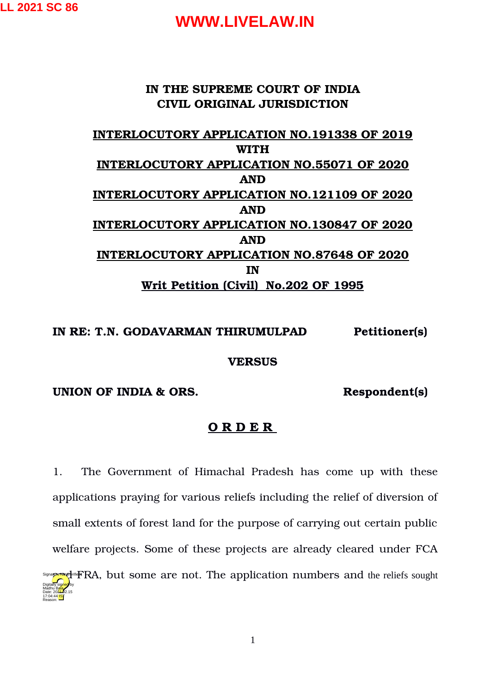**LL 2021 SC 86**

### **WWW.LIVELAW.IN**

#### **IN THE SUPREME COURT OF INDIA CIVIL ORIGINAL JURISDICTION**

### **INTERLOCUTORY APPLICATION NO.191338 OF 2019 WITH INTERLOCUTORY APPLICATION NO.55071 OF 2020 AND INTERLOCUTORY APPLICATION NO.121109 OF 2020 AND INTERLOCUTORY APPLICATION NO.130847 OF 2020 AND INTERLOCUTORY APPLICATION NO.87648 OF 2020 IN Writ Petition (Civil) No.202 OF 1995**

#### **IN RE: T.N. GODAVARMAN THIRUMULPAD Petitioner(s)**

**VERSUS**

**UNION OF INDIA & ORS. Respondent(s)**

17:04:44<sup>TST</sup> Reason:

### **O R D E R**

1. The Government of Himachal Pradesh has come up with these applications praying for various reliefs including the relief of diversion of small extents of forest land for the purpose of carrying out certain public welfare projects. Some of these projects are already cleared under FCA Signa**pure** (diriff RA, but some are not. The application numbers and the reliefs sought Digitally signed by Madhu Bala Date: 2024-02.15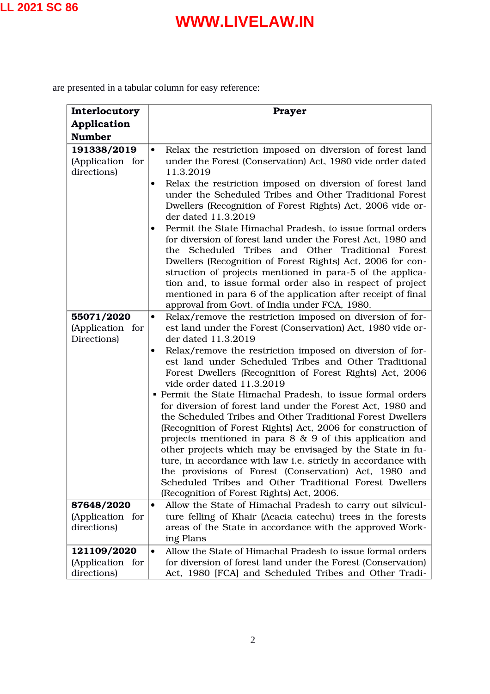are presented in a tabular column for easy reference:

| Interlocutory                                  | <b>Prayer</b>                                                                                                                                                                                                                                                                                                                                                                                                                                                                                                                                                                                                                                                                                                                                                                                                                                   |  |  |  |
|------------------------------------------------|-------------------------------------------------------------------------------------------------------------------------------------------------------------------------------------------------------------------------------------------------------------------------------------------------------------------------------------------------------------------------------------------------------------------------------------------------------------------------------------------------------------------------------------------------------------------------------------------------------------------------------------------------------------------------------------------------------------------------------------------------------------------------------------------------------------------------------------------------|--|--|--|
| <b>Application</b>                             |                                                                                                                                                                                                                                                                                                                                                                                                                                                                                                                                                                                                                                                                                                                                                                                                                                                 |  |  |  |
| <b>Number</b>                                  |                                                                                                                                                                                                                                                                                                                                                                                                                                                                                                                                                                                                                                                                                                                                                                                                                                                 |  |  |  |
| 191338/2019<br>(Application for<br>directions) | Relax the restriction imposed on diversion of forest land<br>$\bullet$<br>under the Forest (Conservation) Act, 1980 vide order dated<br>11.3.2019                                                                                                                                                                                                                                                                                                                                                                                                                                                                                                                                                                                                                                                                                               |  |  |  |
|                                                | Relax the restriction imposed on diversion of forest land<br>$\bullet$<br>under the Scheduled Tribes and Other Traditional Forest<br>Dwellers (Recognition of Forest Rights) Act, 2006 vide or-<br>der dated 11.3.2019<br>Permit the State Himachal Pradesh, to issue formal orders                                                                                                                                                                                                                                                                                                                                                                                                                                                                                                                                                             |  |  |  |
|                                                | for diversion of forest land under the Forest Act, 1980 and<br>the Scheduled Tribes and Other Traditional Forest<br>Dwellers (Recognition of Forest Rights) Act, 2006 for con-<br>struction of projects mentioned in para-5 of the applica-<br>tion and, to issue formal order also in respect of project<br>mentioned in para 6 of the application after receipt of final<br>approval from Govt. of India under FCA, 1980.                                                                                                                                                                                                                                                                                                                                                                                                                     |  |  |  |
| 55071/2020                                     | Relax/remove the restriction imposed on diversion of for-<br>$\bullet$                                                                                                                                                                                                                                                                                                                                                                                                                                                                                                                                                                                                                                                                                                                                                                          |  |  |  |
| (Application for                               | est land under the Forest (Conservation) Act, 1980 vide or-<br>der dated 11.3.2019                                                                                                                                                                                                                                                                                                                                                                                                                                                                                                                                                                                                                                                                                                                                                              |  |  |  |
| Directions)                                    | Relax/remove the restriction imposed on diversion of for-<br>$\bullet$<br>est land under Scheduled Tribes and Other Traditional<br>Forest Dwellers (Recognition of Forest Rights) Act, 2006<br>vide order dated 11.3.2019<br>• Permit the State Himachal Pradesh, to issue formal orders<br>for diversion of forest land under the Forest Act, 1980 and<br>the Scheduled Tribes and Other Traditional Forest Dwellers<br>(Recognition of Forest Rights) Act, 2006 for construction of<br>projects mentioned in para 8 & 9 of this application and<br>other projects which may be envisaged by the State in fu-<br>ture, in accordance with law i.e. strictly in accordance with<br>the provisions of Forest (Conservation) Act, 1980 and<br>Scheduled Tribes and Other Traditional Forest Dwellers<br>(Recognition of Forest Rights) Act, 2006. |  |  |  |
| 87648/2020                                     | Allow the State of Himachal Pradesh to carry out silvicul-<br>$\bullet$                                                                                                                                                                                                                                                                                                                                                                                                                                                                                                                                                                                                                                                                                                                                                                         |  |  |  |
| (Application for<br>directions)                | ture felling of Khair (Acacia catechu) trees in the forests<br>areas of the State in accordance with the approved Work-<br>ing Plans                                                                                                                                                                                                                                                                                                                                                                                                                                                                                                                                                                                                                                                                                                            |  |  |  |
| 121109/2020                                    | Allow the State of Himachal Pradesh to issue formal orders<br>$\bullet$                                                                                                                                                                                                                                                                                                                                                                                                                                                                                                                                                                                                                                                                                                                                                                         |  |  |  |
| (Application for<br>directions)                | for diversion of forest land under the Forest (Conservation)<br>Act, 1980 [FCA] and Scheduled Tribes and Other Tradi-                                                                                                                                                                                                                                                                                                                                                                                                                                                                                                                                                                                                                                                                                                                           |  |  |  |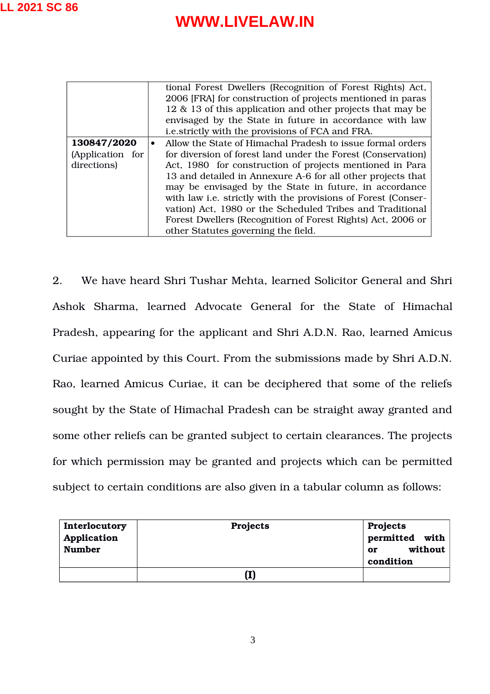|                                                | tional Forest Dwellers (Recognition of Forest Rights) Act,<br>2006 [FRA] for construction of projects mentioned in paras<br>12 & 13 of this application and other projects that may be<br>envisaged by the State in future in accordance with law<br>i.e.strictly with the provisions of FCA and FRA.                                                                                                                                                                                                                                                            |
|------------------------------------------------|------------------------------------------------------------------------------------------------------------------------------------------------------------------------------------------------------------------------------------------------------------------------------------------------------------------------------------------------------------------------------------------------------------------------------------------------------------------------------------------------------------------------------------------------------------------|
| 130847/2020<br>(Application for<br>directions) | Allow the State of Himachal Pradesh to issue formal orders<br>$\bullet$<br>for diversion of forest land under the Forest (Conservation)<br>Act, 1980 for construction of projects mentioned in Para<br>13 and detailed in Annexure A-6 for all other projects that<br>may be envisaged by the State in future, in accordance<br>with law i.e. strictly with the provisions of Forest (Conser-<br>vation) Act, 1980 or the Scheduled Tribes and Traditional<br>Forest Dwellers (Recognition of Forest Rights) Act, 2006 or<br>other Statutes governing the field. |

2. We have heard Shri Tushar Mehta, learned Solicitor General and Shri Ashok Sharma, learned Advocate General for the State of Himachal Pradesh, appearing for the applicant and Shri A.D.N. Rao, learned Amicus Curiae appointed by this Court. From the submissions made by Shri A.D.N. Rao, learned Amicus Curiae, it can be deciphered that some of the reliefs sought by the State of Himachal Pradesh can be straight away granted and some other reliefs can be granted subject to certain clearances. The projects for which permission may be granted and projects which can be permitted subject to certain conditions are also given in a tabular column as follows:

| Interlocutory<br>Application<br><b>Number</b> | Projects       | Projects<br>permitted<br>with<br>without<br>or<br>condition |
|-----------------------------------------------|----------------|-------------------------------------------------------------|
|                                               | $(\mathbf{I})$ |                                                             |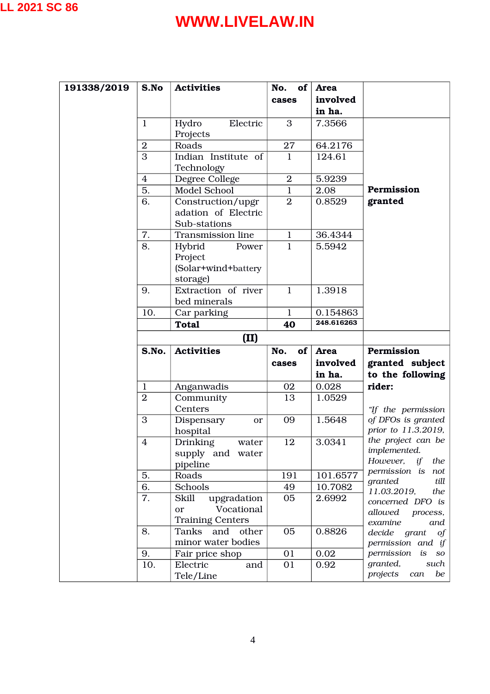| 191338/2019 | S.No           | <b>Activities</b>                           | of<br>No.      | Area        |                                            |
|-------------|----------------|---------------------------------------------|----------------|-------------|--------------------------------------------|
|             |                |                                             | cases          | involved    |                                            |
|             |                |                                             |                | in ha.      |                                            |
|             | $\mathbf{1}$   | Hydro<br>Electric                           | 3              | 7.3566      |                                            |
|             |                | Projects                                    |                |             |                                            |
|             | $\overline{2}$ | Roads                                       | 27             | 64.2176     |                                            |
|             | 3              | Indian Institute of<br>Technology           | $\mathbf{1}$   | 124.61      |                                            |
|             | $\overline{4}$ | Degree College                              | $\overline{2}$ | 5.9239      |                                            |
|             | 5.             | Model School                                | $\mathbf{1}$   | 2.08        | <b>Permission</b>                          |
|             | 6.             | Construction/upgr                           | $\overline{2}$ | 0.8529      | granted                                    |
|             |                | adation of Electric<br>Sub-stations         |                |             |                                            |
|             | 7.             | Transmission line                           | $\mathbf 1$    | 36.4344     |                                            |
|             | 8.             | Hybrid<br>Power                             | $\mathbf{1}$   | 5.5942      |                                            |
|             |                | Project                                     |                |             |                                            |
|             |                | (Solar+wind+battery                         |                |             |                                            |
|             |                | storage)                                    |                |             |                                            |
|             | 9.             | Extraction of river                         | $\mathbf{1}$   | 1.3918      |                                            |
|             |                | bed minerals                                |                |             |                                            |
|             | 10.            | Car parking                                 | 1              | 0.154863    |                                            |
|             |                | <b>Total</b>                                | 40             | 248.616263  |                                            |
|             |                | (II)                                        |                |             |                                            |
|             | S.No.          | <b>Activities</b>                           | of<br>No.      | <b>Area</b> | Permission                                 |
|             |                |                                             | cases          | involved    | granted subject                            |
|             |                |                                             |                | in ha.      | to the following                           |
|             | $\mathbf{1}$   | Anganwadis                                  | 02             | 0.028       | rider:                                     |
|             | $\overline{2}$ | Community                                   | 13             | 1.0529      |                                            |
|             |                | Centers                                     |                |             | "If the permission                         |
|             | 3              | Dispensary<br>or                            | 09             | 1.5648      | of DFOs is granted                         |
|             |                | hospital                                    |                |             | prior to 11.3.2019,                        |
|             | $\overline{4}$ | Drinking<br>water                           | 12             | 3.0341      | the project can be                         |
|             |                | supply and water                            |                |             | implemented.<br>However,<br>if<br>the      |
|             |                | pipeline                                    |                |             | permission is<br>not                       |
|             | 5.             | Roads                                       | 191            | 101.6577    | granted<br>till                            |
|             | 6.             | Schools                                     | 49             | 10.7082     | 11.03.2019,<br>the                         |
|             | 7.             | Skill<br>upgradation                        | 05             | 2.6992      | concerned DFO is                           |
|             |                | Vocational<br><b>or</b>                     |                |             | allowed<br>process,                        |
|             |                | <b>Training Centers</b>                     |                |             | examine<br>and                             |
|             | 8.             | and<br>Tanks<br>other<br>minor water bodies | 05             | 0.8826      | decide<br>grant<br>of<br>permission and if |
|             | 9.             | Fair price shop                             | 01             | 0.02        | permission<br>is<br>SO <sub>1</sub>        |
|             | 10.            | Electric<br>and<br>Tele/Line                | 01             | 0.92        | granted,<br>such<br>projects<br>can<br>be  |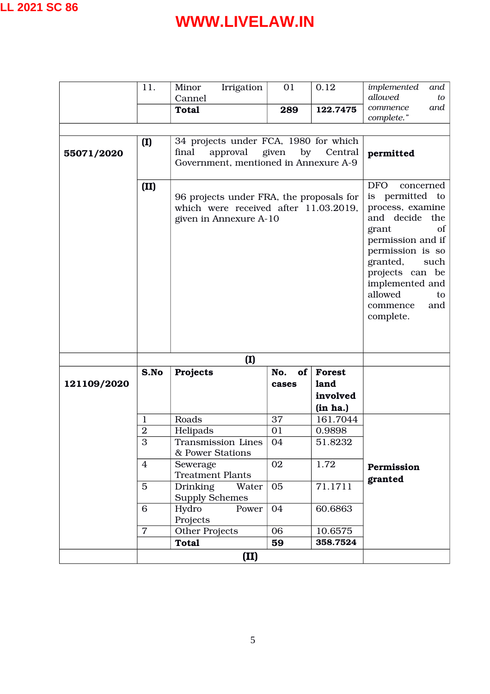|             | 11.            | Minor<br>Irrigation<br>Cannel                                                                                                 | 01        | 0.12          | implemented<br>and<br>allowed<br>to                                                                                                                                                                                                                 |
|-------------|----------------|-------------------------------------------------------------------------------------------------------------------------------|-----------|---------------|-----------------------------------------------------------------------------------------------------------------------------------------------------------------------------------------------------------------------------------------------------|
|             |                | <b>Total</b>                                                                                                                  | 289       | 122.7475      | and<br>commence                                                                                                                                                                                                                                     |
|             |                |                                                                                                                               |           |               | complete."                                                                                                                                                                                                                                          |
|             |                |                                                                                                                               |           |               |                                                                                                                                                                                                                                                     |
| 55071/2020  | (I)            | 34 projects under FCA, 1980 for which<br>approval<br>final<br>given<br>by<br>Central<br>Government, mentioned in Annexure A-9 |           |               | permitted                                                                                                                                                                                                                                           |
|             | (II)           | 96 projects under FRA, the proposals for<br>which were received after 11.03.2019.<br>given in Annexure A-10                   |           |               | <b>DFO</b><br>concerned<br>is permitted to<br>process, examine<br>and decide the<br>grant<br>of<br>permission and if<br>permission is so<br>granted,<br>such<br>projects can be<br>implemented and<br>allowed<br>to<br>and<br>commence<br>complete. |
|             |                | (I)                                                                                                                           |           |               |                                                                                                                                                                                                                                                     |
|             | S.No           | Projects                                                                                                                      | of<br>No. | <b>Forest</b> |                                                                                                                                                                                                                                                     |
| 121109/2020 |                |                                                                                                                               | cases     | land          |                                                                                                                                                                                                                                                     |
|             |                |                                                                                                                               |           | involved      |                                                                                                                                                                                                                                                     |
|             |                |                                                                                                                               |           | (in ha.)      |                                                                                                                                                                                                                                                     |
|             | $\mathbf{1}$   | Roads                                                                                                                         | 37        | 161.7044      |                                                                                                                                                                                                                                                     |
|             | $\overline{2}$ | Helipads                                                                                                                      | 01        | 0.9898        |                                                                                                                                                                                                                                                     |
|             | 3              | <b>Transmission Lines</b><br>& Power Stations                                                                                 | 04        | 51.8232       |                                                                                                                                                                                                                                                     |
|             | $\overline{4}$ | Sewerage<br><b>Treatment Plants</b>                                                                                           | 02        | 1.72          | Permission<br>granted                                                                                                                                                                                                                               |
|             | $\overline{5}$ | Water<br>Drinking<br><b>Supply Schemes</b>                                                                                    | 05        | 71.1711       |                                                                                                                                                                                                                                                     |
|             | 6              | Hydro<br>Power<br>Projects                                                                                                    | 04        | 60.6863       |                                                                                                                                                                                                                                                     |
|             | $\overline{7}$ | <b>Other Projects</b>                                                                                                         | 06        | 10.6575       |                                                                                                                                                                                                                                                     |
|             |                | <b>Total</b>                                                                                                                  | 59        | 358.7524      |                                                                                                                                                                                                                                                     |
|             | (II)           |                                                                                                                               |           |               |                                                                                                                                                                                                                                                     |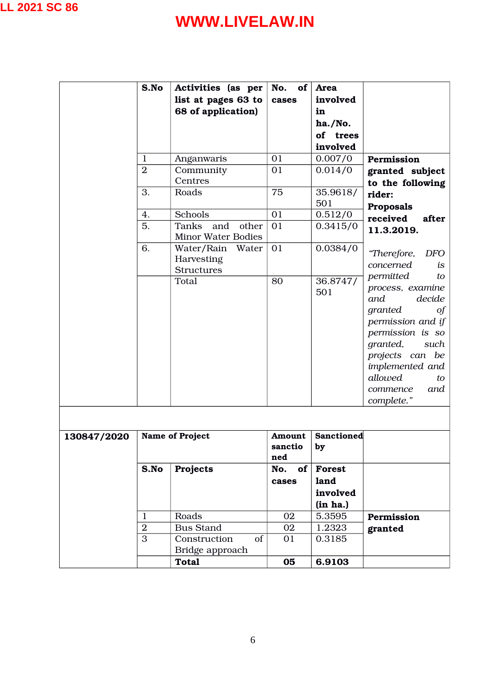|             | S.No<br>$\mathbf{1}$<br>$\overline{2}$<br>3.<br>4. | Activities (as per<br>list at pages 63 to<br>68 of application)<br>Anganwaris<br>Community<br>Centres<br>Roads<br>Schools | of<br>No.<br>cases<br>01<br>01<br>75<br>01 | Area<br>involved<br>in<br>ha./No.<br>of trees<br>involved<br>0.007/0<br>0.014/0<br>35.9618/<br>501<br>0.512/0 | Permission<br>granted subject<br>to the following<br>rider:<br><b>Proposals</b><br>received<br>after                                                                                                                       |
|-------------|----------------------------------------------------|---------------------------------------------------------------------------------------------------------------------------|--------------------------------------------|---------------------------------------------------------------------------------------------------------------|----------------------------------------------------------------------------------------------------------------------------------------------------------------------------------------------------------------------------|
|             | 5.                                                 | Tanks<br>other<br>and<br><b>Minor Water Bodies</b>                                                                        | 01                                         | 0.3415/0                                                                                                      | 11.3.2019.                                                                                                                                                                                                                 |
|             | 6.                                                 | Water/Rain<br>Water<br>Harvesting<br><b>Structures</b>                                                                    | 01                                         | 0.0384/0                                                                                                      | "Therefore,<br><b>DFO</b><br>concerned<br>is                                                                                                                                                                               |
|             |                                                    | Total                                                                                                                     | 80                                         | 36.8747/<br>501                                                                                               | permitted<br>to<br>process, examine<br>and<br>decide<br>granted<br>οf<br>permission and if<br>permission is so<br>granted,<br>such<br>projects can be<br>implemented and<br>allowed<br>to<br>commence<br>and<br>complete." |
| 130847/2020 | Name of Project                                    |                                                                                                                           | Amount<br>sanctio                          | Sanctioned<br>by                                                                                              |                                                                                                                                                                                                                            |
|             | S.No                                               | Projects                                                                                                                  | ned<br>No.<br>of                           | <b>Forest</b>                                                                                                 |                                                                                                                                                                                                                            |
|             |                                                    |                                                                                                                           | cases                                      | land<br>involved                                                                                              |                                                                                                                                                                                                                            |
|             |                                                    |                                                                                                                           |                                            | (in ha.)                                                                                                      |                                                                                                                                                                                                                            |
|             | $\mathbf{1}$                                       | Roads                                                                                                                     | 02                                         | 5.3595                                                                                                        | Permission                                                                                                                                                                                                                 |
|             | $\overline{2}$<br>3                                | <b>Bus Stand</b><br>Construction<br>of                                                                                    | 02<br>01                                   | 1.2323<br>0.3185                                                                                              | granted                                                                                                                                                                                                                    |
|             |                                                    | Bridge approach                                                                                                           |                                            |                                                                                                               |                                                                                                                                                                                                                            |
|             |                                                    | <b>Total</b>                                                                                                              | 05                                         | 6.9103                                                                                                        |                                                                                                                                                                                                                            |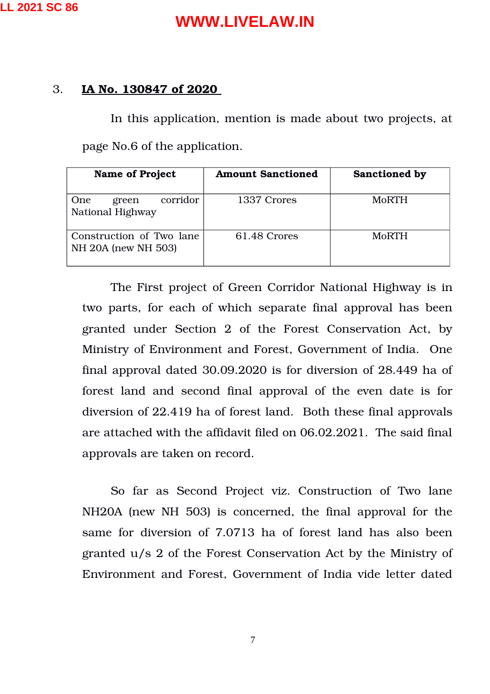#### 3. **IA No. 130847 of 2020**

In this application, mention is made about two projects, at page No.6 of the application.

| <b>Name of Project</b>                          | <b>Amount Sanctioned</b> | Sanctioned by |  |  |
|-------------------------------------------------|--------------------------|---------------|--|--|
| corridor<br>One<br>green<br>National Highway    | 1337 Crores              | MoRTH         |  |  |
| Construction of Two lane<br>NH 20A (new NH 503) | 61.48 Crores             | MoRTH         |  |  |

The First project of Green Corridor National Highway is in two parts, for each of which separate final approval has been granted under Section 2 of the Forest Conservation Act, by Ministry of Environment and Forest, Government of India. One final approval dated 30.09.2020 is for diversion of 28.449 ha of forest land and second final approval of the even date is for diversion of 22.419 ha of forest land. Both these final approvals are attached with the affidavit filed on 06.02.2021. The said final approvals are taken on record.

So far as Second Project viz. Construction of Two lane NH20A (new NH 503) is concerned, the final approval for the same for diversion of 7.0713 ha of forest land has also been granted u/s 2 of the Forest Conservation Act by the Ministry of Environment and Forest, Government of India vide letter dated